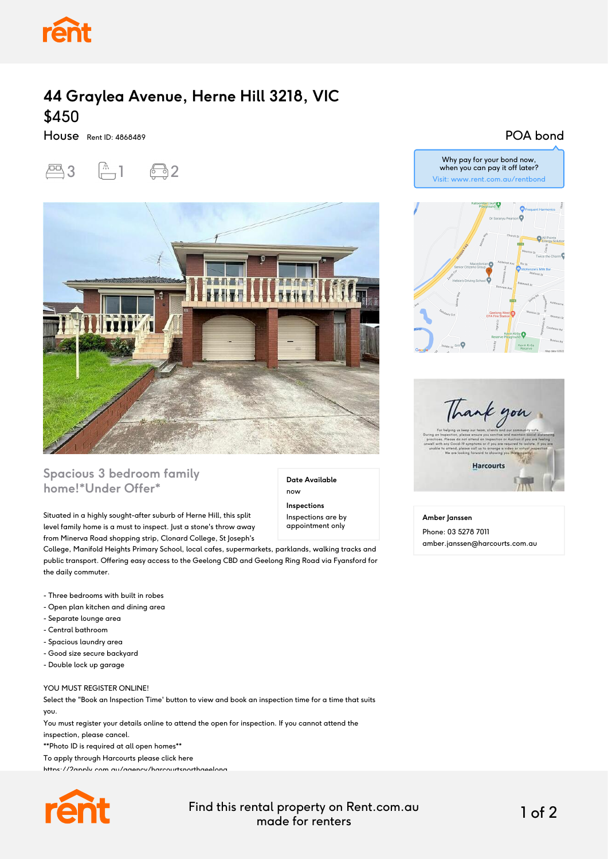

# **44 Graylea Avenue, Herne Hill 3218, VIC** \$450

House Rent ID: 4868489





## **Spacious 3 bedroom family home!\*Under Offer\***

Situated in a highly sought-after suburb of Herne Hill, this split level family home is a must to inspect. Just a stone's throw away from Minerva Road shopping strip, Clonard College, St Joseph's

College, Manifold Heights Primary School, local cafes, supermarkets, parklands, walking tracks and public transport. Offering easy access to the Geelong CBD and Geelong Ring Road via Fyansford for the daily commuter.

- Three bedrooms with built in robes
- Open plan kitchen and dining area
- Separate lounge area
- Central bathroom
- Spacious laundry area
- Good size secure backyard
- Double lock up garage

#### YOU MUST REGISTER ONLINE!

Select the "Book an Inspection Time' button to view and book an inspection time for a time that suits you.

You must register your details online to attend the open for inspection. If you cannot attend the

inspection, please cancel.

\*\*Photo ID is required at all open homes\*\*

To apply through Harcourts please click here





Find this rental property on Rent.com.au made for renters 1 of 2

**Date Available**

now **Inspections** Inspections are by appointment only

### POA bond



Thank you **Harcourts** 

**Amber Janssen**

Phone: 03 5278 7011 amber.janssen@harcourts.com.au